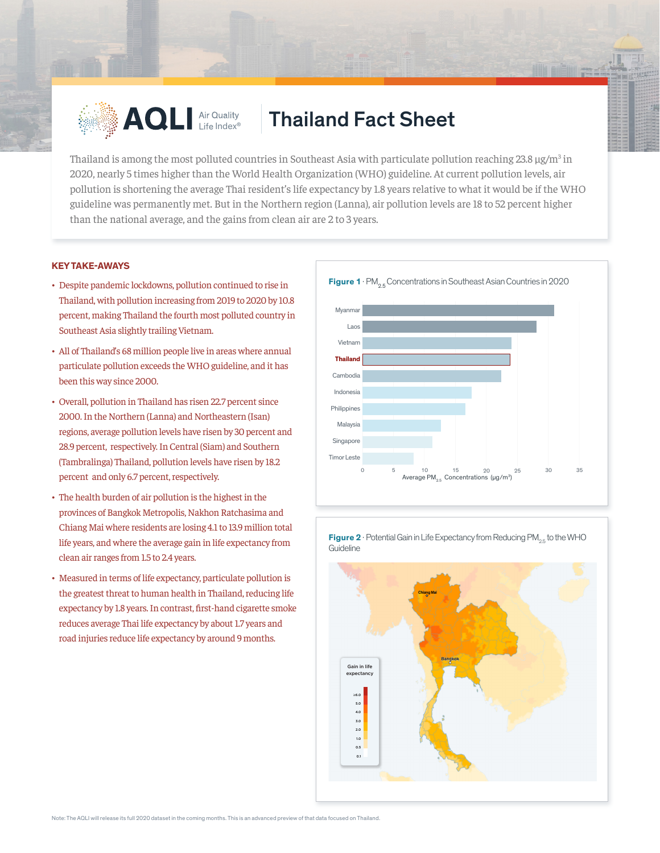

# **AOLI** Air Quality **Thailand Fact Sheet**

Thailand is among the most polluted countries in Southeast Asia with particulate pollution reaching 23.8  $\mu$ g/m<sup>3</sup> in 2020, nearly 5 times higher than the World Health Organization (WHO) guideline. At current pollution levels, air pollution is shortening the average Thai resident's life expectancy by 1.8 years relative to what it would be if the WHO guideline was permanently met. But in the Northern region (Lanna), air pollution levels are 18 to 52 percent higher than the national average, and the gains from clean air are 2 to 3 years.

### **KEY TAKE-AWAYS**

- Despite pandemic lockdowns, pollution continued to rise in Thailand, with pollution increasing from 2019 to 2020 by 10.8 percent, making Thailand the fourth most polluted country in Southeast Asia slightly trailing Vietnam.
- All of Thailand's 68 million people live in areas where annual particulate pollution exceeds the WHO guideline, and it has been this way since 2000.
- Overall, pollution in Thailand has risen 22.7 percent since 2000. In the Northern (Lanna) and Northeastern (Isan) regions, average pollution levels have risen by 30 percent and 28.9 percent, respectively. In Central (Siam) and Southern (Tambralinga) Thailand, pollution levels have risen by 18.2 percent and only 6.7 percent, respectively.
- The health burden of air pollution is the highest in the provinces of Bangkok Metropolis, Nakhon Ratchasima and Chiang Mai where residents are losing 4.1 to 13.9 million total life years, and where the average gain in life expectancy from clean air ranges from 1.5 to 2.4 years.
- Measured in terms of life expectancy, particulate pollution is the greatest threat to human health in Thailand, reducing life expectancy by 1.8 years. In contrast, first-hand cigarette smoke reduces average Thai life expectancy by about 1.7 years and road injuries reduce life expectancy by around 9 months.



**Figure 2** · Potential Gain in Life Expectancy from Reducing PM<sub>25</sub> to the WHO **Guideline** 

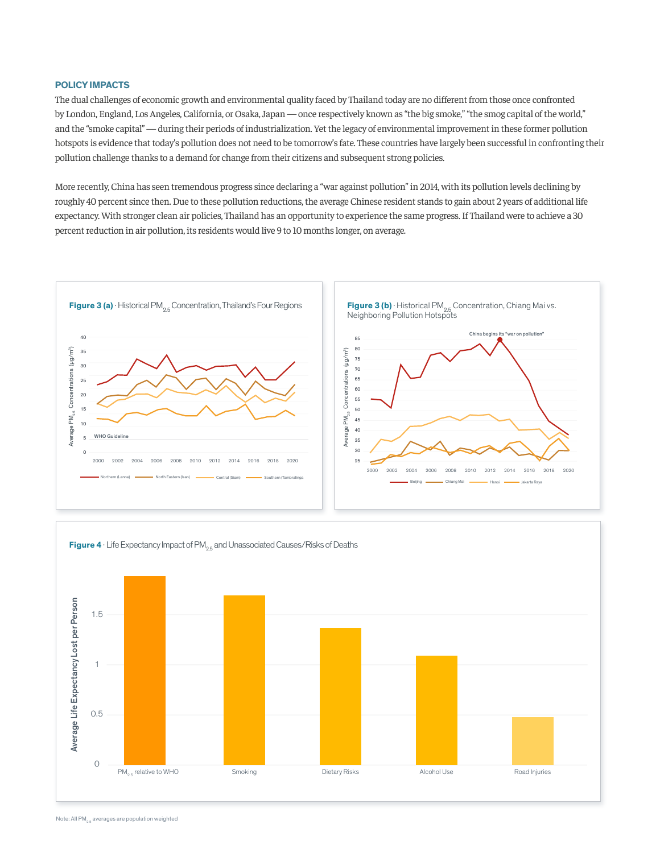#### **POLICY IMPACTS**

The dual challenges of economic growth and environmental quality faced by Thailand today are no different from those once confronted by London, England, Los Angeles, California, or Osaka, Japan — once respectively known as "the big smoke," "the smog capital of the world," and the "smoke capital" — during their periods of industrialization. Yet the legacy of environmental improvement in these former pollution hotspots is evidence that today's pollution does not need to be tomorrow's fate. These countries have largely been successful in confronting their pollution challenge thanks to a demand for change from their citizens and subsequent strong policies.

More recently, China has seen tremendous progress since declaring a "war against pollution" in 2014, with its pollution levels declining by roughly 40 percent since then. Due to these pollution reductions, the average Chinese resident stands to gain about 2 years of additional life expectancy. With stronger clean air policies, Thailand has an opportunity to experience the same progress. If Thailand were to achieve a 30 percent reduction in air pollution, its residents would live 9 to 10 months longer, on average.